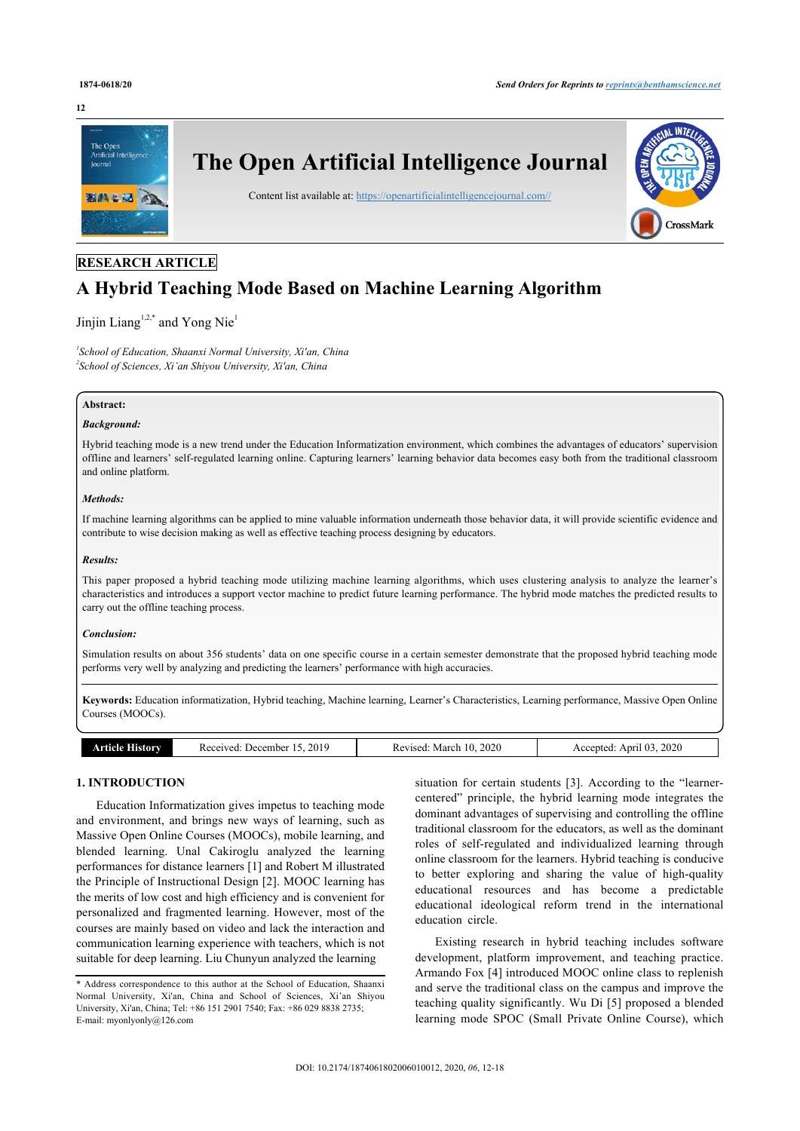#### **12**



# **RESEARCH ARTICLE**

# **A Hybrid Teaching Mode Based on Machine Learning Algorithm**

# Jinjin Liang $1,2,*$  $1,2,*$  $1,2,*$  and Yong Nie $^1$  $^1$

<span id="page-0-1"></span><span id="page-0-0"></span>*1 School of Education, Shaanxi Normal University, Xi'an, China 2 School of Sciences, Xi'an Shiyou University, Xi'an, China*

# **Abstract:**

# *Background:*

Hybrid teaching mode is a new trend under the Education Informatization environment, which combines the advantages of educators' supervision offline and learners' self-regulated learning online. Capturing learners' learning behavior data becomes easy both from the traditional classroom and online platform.

#### *Methods:*

If machine learning algorithms can be applied to mine valuable information underneath those behavior data, it will provide scientific evidence and contribute to wise decision making as well as effective teaching process designing by educators.

#### *Results:*

This paper proposed a hybrid teaching mode utilizing machine learning algorithms, which uses clustering analysis to analyze the learner's characteristics and introduces a support vector machine to predict future learning performance. The hybrid mode matches the predicted results to carry out the offline teaching process.

#### *Conclusion:*

Simulation results on about 356 students' data on one specific course in a certain semester demonstrate that the proposed hybrid teaching mode performs very well by analyzing and predicting the learners' performance with high accuracies.

**Keywords:** Education informatization, Hybrid teaching, Machine learning, Learner's Characteristics, Learning performance, Massive Open Online Courses (MOOCs).

| $\sim$ | .201 <sup>c</sup><br>. Jecember<br>enved:<br>.<br>.<br>. | 2020<br>Marci<br>$\mathbf{10.00}$<br>, , ,<br>n c<br>NG.<br>____<br>. | 2020<br>Anri<br>- - --<br>ented |
|--------|----------------------------------------------------------|-----------------------------------------------------------------------|---------------------------------|

### **1. INTRODUCTION**

Education Informatization gives impetus to teaching mode and environment, and brings new ways of learning, such as Massive Open Online Courses (MOOCs), mobile learning, and blended learning. Unal Cakiroglu analyzed the learning performances for distance learners [\[1\]](#page-6-0) and Robert M illustrated the Principle of Instructional Design [\[2\]](#page-6-1). MOOC learning has the merits of low cost and high efficiency and is convenient for personalized and fragmented learning. However, most of the courses are mainly based on video and lack the interaction and communication learning experience with teachers, which is not suitable for deep learning. Liu Chunyun analyzed the learning

situation for certain students [\[3\]](#page-6-2). According to the "learnercentered" principle, the hybrid learning mode integrates the dominant advantages of supervising and controlling the offline traditional classroom for the educators, as well as the dominant roles of self-regulated and individualized learning through online classroom for the learners. Hybrid teaching is conducive to better exploring and sharing the value of high-quality educational resources and has become a predictable educational ideological reform trend in the international education circle.

Existing research in hybrid teaching includes software development, platform improvement, and teaching practice. Armando Fox [\[4\]](#page-6-3) introduced MOOC online class to replenish and serve the traditional class on the campus and improve the teaching quality significantly. Wu Di [[5\]](#page-6-4) proposed a blended learning mode SPOC (Small Private Online Course), which

<span id="page-0-2"></span><sup>\*</sup> Address correspondence to this author at the School of Education, Shaanxi Normal University, Xi'an, China and School of Sciences, Xi'an Shiyou University, Xi'an, China; Tel: +86 151 2901 7540; Fax: +86 029 8838 2735; E-mail: [myonlyonly@126.com](mailto:myonlyonly@126.com)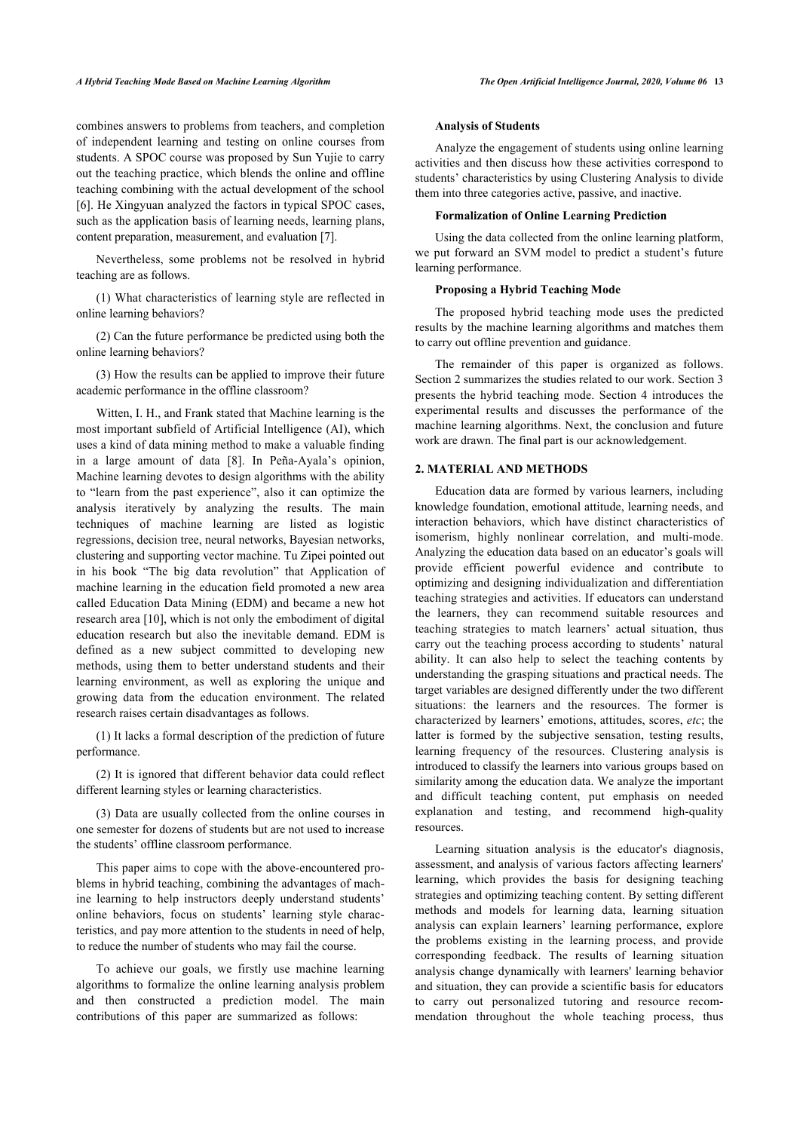combines answers to problems from teachers, and completion of independent learning and testing on online courses from students. A SPOC course was proposed by Sun Yujie to carry out the teaching practice, which blends the online and offline teaching combining with the actual development of the school [[6](#page-6-5)]. He Xingyuan analyzed the factors in typical SPOC cases, such as the application basis of learning needs, learning plans, content preparation, measurement, and evaluation [\[7\]](#page-6-6).

Nevertheless, some problems not be resolved in hybrid teaching are as follows.

(1) What characteristics of learning style are reflected in online learning behaviors?

(2) Can the future performance be predicted using both the online learning behaviors?

(3) How the results can be applied to improve their future academic performance in the offline classroom?

Witten, I. H., and Frank stated that Machine learning is the most important subfield of Artificial Intelligence (AI), which uses a kind of data mining method to make a valuable finding in a large amount of data [\[8\]](#page-6-7). In Peña-Ayala's opinion, Machine learning devotes to design algorithms with the ability to "learn from the past experience", also it can optimize the analysis iteratively by analyzing the results. The main techniques of machine learning are listed as logistic regressions, decision tree, neural networks, Bayesian networks, clustering and supporting vector machine. Tu Zipei pointed out in his book "The big data revolution" that Application of machine learning in the education field promoted a new area called Education Data Mining (EDM) and became a new hot research area [[10\]](#page-6-8), which is not only the embodiment of digital education research but also the inevitable demand. EDM is defined as a new subject committed to developing new methods, using them to better understand students and their learning environment, as well as exploring the unique and growing data from the education environment. The related research raises certain disadvantages as follows.

(1) It lacks a formal description of the prediction of future performance.

(2) It is ignored that different behavior data could reflect different learning styles or learning characteristics.

(3) Data are usually collected from the online courses in one semester for dozens of students but are not used to increase the students' offline classroom performance.

This paper aims to cope with the above-encountered problems in hybrid teaching, combining the advantages of machine learning to help instructors deeply understand students' online behaviors, focus on students' learning style characteristics, and pay more attention to the students in need of help, to reduce the number of students who may fail the course.

To achieve our goals, we firstly use machine learning algorithms to formalize the online learning analysis problem and then constructed a prediction model. The main contributions of this paper are summarized as follows:

#### **Analysis of Students**

Analyze the engagement of students using online learning activities and then discuss how these activities correspond to students' characteristics by using Clustering Analysis to divide them into three categories active, passive, and inactive.

#### **Formalization of Online Learning Prediction**

Using the data collected from the online learning platform, we put forward an SVM model to predict a student's future learning performance.

# **Proposing a Hybrid Teaching Mode**

The proposed hybrid teaching mode uses the predicted results by the machine learning algorithms and matches them to carry out offline prevention and guidance.

The remainder of this paper is organized as follows. Section 2 summarizes the studies related to our work. Section 3 presents the hybrid teaching mode. Section 4 introduces the experimental results and discusses the performance of the machine learning algorithms. Next, the conclusion and future work are drawn. The final part is our acknowledgement.

#### **2. MATERIAL AND METHODS**

Education data are formed by various learners, including knowledge foundation, emotional attitude, learning needs, and interaction behaviors, which have distinct characteristics of isomerism, highly nonlinear correlation, and multi-mode. Analyzing the education data based on an educator's goals will provide efficient powerful evidence and contribute to optimizing and designing individualization and differentiation teaching strategies and activities. If educators can understand the learners, they can recommend suitable resources and teaching strategies to match learners' actual situation, thus carry out the teaching process according to students' natural ability. It can also help to select the teaching contents by understanding the grasping situations and practical needs. The target variables are designed differently under the two different situations: the learners and the resources. The former is characterized by learners' emotions, attitudes, scores, *etc*; the latter is formed by the subjective sensation, testing results, learning frequency of the resources. Clustering analysis is introduced to classify the learners into various groups based on similarity among the education data. We analyze the important and difficult teaching content, put emphasis on needed explanation and testing, and recommend high-quality resources.

Learning situation analysis is the educator's diagnosis, assessment, and analysis of various factors affecting learners' learning, which provides the basis for designing teaching strategies and optimizing teaching content. By setting different methods and models for learning data, learning situation analysis can explain learners' learning performance, explore the problems existing in the learning process, and provide corresponding feedback. The results of learning situation analysis change dynamically with learners' learning behavior and situation, they can provide a scientific basis for educators to carry out personalized tutoring and resource recommendation throughout the whole teaching process, thus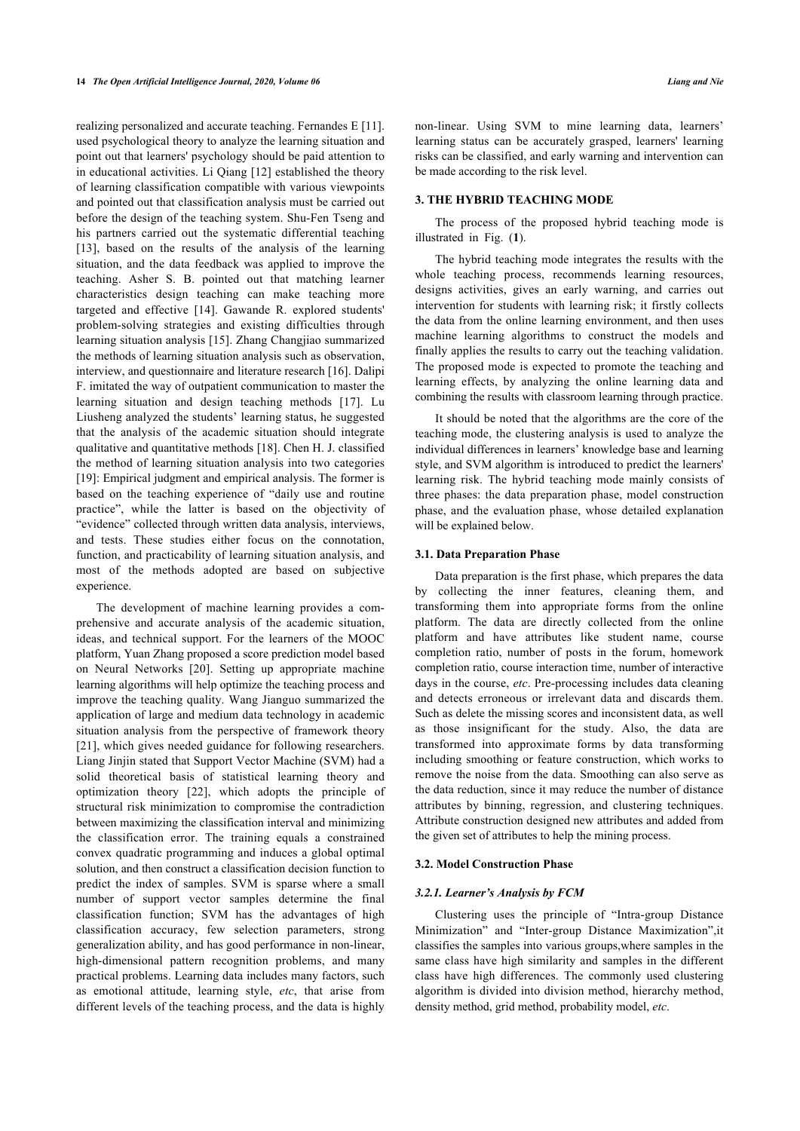realizing personalized and accurate teaching. Fernandes E [[11](#page-6-9)]. used psychological theory to analyze the learning situation and point out that learners' psychology should be paid attention to in educational activities. Li Qiang [[12](#page-6-10)] established the theory of learning classification compatible with various viewpoints and pointed out that classification analysis must be carried out before the design of the teaching system. Shu-Fen Tseng and his partners carried out the systematic differential teaching [[13\]](#page-6-11), based on the results of the analysis of the learning situation, and the data feedback was applied to improve the teaching. Asher S. B. pointed out that matching learner characteristics design teaching can make teaching more targeted and effective[[14\]](#page-6-12). Gawande R. explored students' problem-solving strategies and existing difficulties through learning situation analysis [[15\]](#page-6-13). Zhang Changjiao summarized the methods of learning situation analysis such as observation, interview, and questionnaire and literature research [\[16](#page-6-14)]. Dalipi F. imitated the way of outpatient communication to master the learning situation and design teaching methods[[17](#page-6-15)]. Lu Liusheng analyzed the students' learning status, he suggested that the analysis of the academic situation should integrate qualitative and quantitative methods [\[18](#page-6-16)]. Chen H. J. classified the method of learning situation analysis into two categories [[19\]](#page-6-17): Empirical judgment and empirical analysis. The former is based on the teaching experience of "daily use and routine practice", while the latter is based on the objectivity of "evidence" collected through written data analysis, interviews, and tests. These studies either focus on the connotation, function, and practicability of learning situation analysis, and most of the methods adopted are based on subjective experience.

The development of machine learning provides a comprehensive and accurate analysis of the academic situation, ideas, and technical support. For the learners of the MOOC platform, Yuan Zhang proposed a score prediction model based on Neural Networks[[20](#page-6-18)]. Setting up appropriate machine learning algorithms will help optimize the teaching process and improve the teaching quality. Wang Jianguo summarized the application of large and medium data technology in academic situation analysis from the perspective of framework theory [[21\]](#page-6-19), which gives needed guidance for following researchers. Liang Jinjin stated that Support Vector Machine (SVM) had a solid theoretical basis of statistical learning theory and optimization theory [\[22\]](#page-6-20), which adopts the principle of structural risk minimization to compromise the contradiction between maximizing the classification interval and minimizing the classification error. The training equals a constrained convex quadratic programming and induces a global optimal solution, and then construct a classification decision function to predict the index of samples. SVM is sparse where a small number of support vector samples determine the final classification function; SVM has the advantages of high classification accuracy, few selection parameters, strong generalization ability, and has good performance in non-linear, high-dimensional pattern recognition problems, and many practical problems. Learning data includes many factors, such as emotional attitude, learning style, *etc*, that arise from different levels of the teaching process, and the data is highly

non-linear. Using SVM to mine learning data, learners' learning status can be accurately grasped, learners' learning risks can be classified, and early warning and intervention can be made according to the risk level.

# **3. THE HYBRID TEACHING MODE**

The process of the proposed hybrid teaching mode is illustrated in Fig. (**[1](#page-2-0)**).

The hybrid teaching mode integrates the results with the whole teaching process, recommends learning resources, designs activities, gives an early warning, and carries out intervention for students with learning risk; it firstly collects the data from the online learning environment, and then uses machine learning algorithms to construct the models and finally applies the results to carry out the teaching validation. The proposed mode is expected to promote the teaching and learning effects, by analyzing the online learning data and combining the results with classroom learning through practice.

It should be noted that the algorithms are the core of the teaching mode, the clustering analysis is used to analyze the individual differences in learners' knowledge base and learning style, and SVM algorithm is introduced to predict the learners' learning risk. The hybrid teaching mode mainly consists of three phases: the data preparation phase, model construction phase, and the evaluation phase, whose detailed explanation will be explained below.

### **3.1. Data Preparation Phase**

Data preparation is the first phase, which prepares the data by collecting the inner features, cleaning them, and transforming them into appropriate forms from the online platform. The data are directly collected from the online platform and have attributes like student name, course completion ratio, number of posts in the forum, homework completion ratio, course interaction time, number of interactive days in the course, *etc*. Pre-processing includes data cleaning and detects erroneous or irrelevant data and discards them. Such as delete the missing scores and inconsistent data, as well as those insignificant for the study. Also, the data are transformed into approximate forms by data transforming including smoothing or feature construction, which works to remove the noise from the data. Smoothing can also serve as the data reduction, since it may reduce the number of distance attributes by binning, regression, and clustering techniques. Attribute construction designed new attributes and added from the given set of attributes to help the mining process.

#### **3.2. Model Construction Phase**

#### *3.2.1. Learner's Analysis by FCM*

<span id="page-2-0"></span>Clustering uses the principle of "Intra-group Distance Minimization" and "Inter-group Distance Maximization",it classifies the samples into various groups,where samples in the same class have high similarity and samples in the different class have high differences. The commonly used clustering algorithm is divided into division method, hierarchy method, density method, grid method, probability model, *etc*.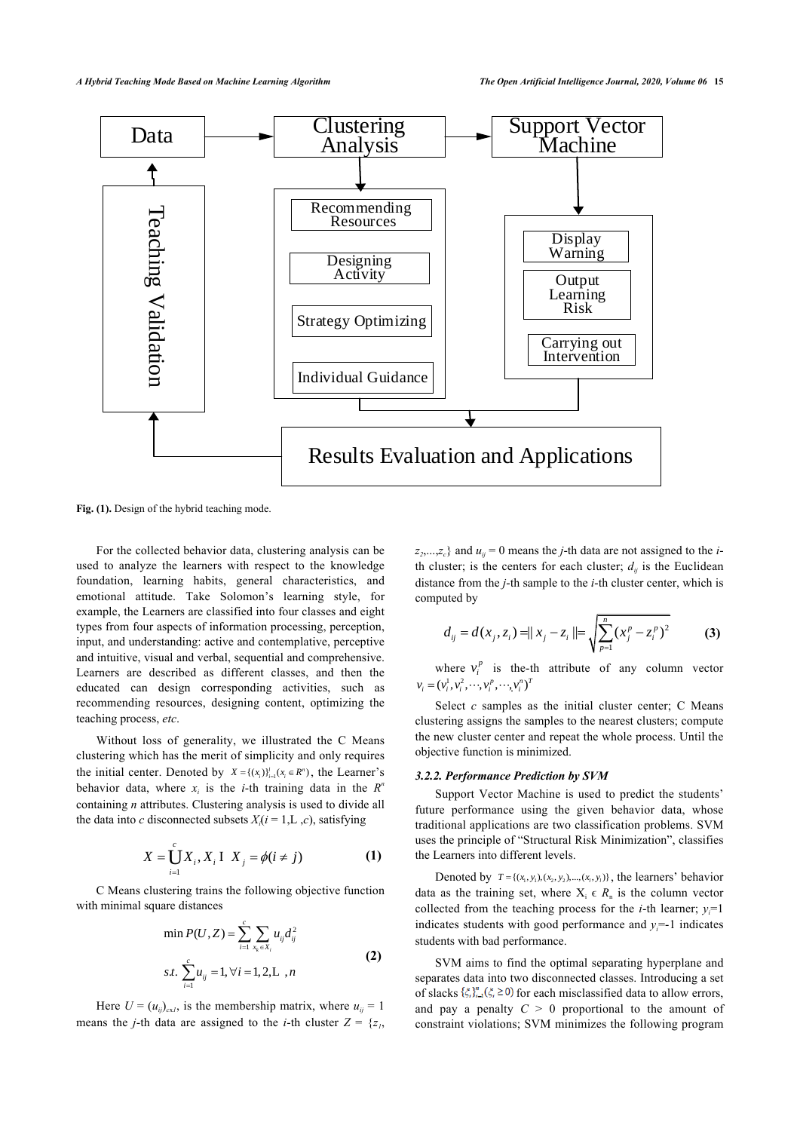

**Fig. (1).** Design of the hybrid teaching mode.

For the collected behavior data, clustering analysis can be used to analyze the learners with respect to the knowledge foundation, learning habits, general characteristics, and emotional attitude. Take Solomon's learning style, for example, the Learners are classified into four classes and eight types from four aspects of information processing, perception, input, and understanding: active and contemplative, perceptive and intuitive, visual and verbal, sequential and comprehensive. Learners are described as different classes, and then the educated can design corresponding activities, such as recommending resources, designing content, optimizing the teaching process, *etc*.

Without loss of generality, we illustrated the C Means clustering which has the merit of simplicity and only requires the initial center. Denoted by  $X = \{(x_i)\}_{i=1}^l (x_i \in R^n)$ , the Learner's behavior data, where  $x_i$  is the *i*-th training data in the  $R^n$ containing *n* attributes. Clustering analysis is used to divide all the data into *c* disconnected subsets  $X_i$  ( $i = 1, L, c$ ), satisfying

$$
X = \bigcup_{i=1}^{c} X_{i}, X_{i} \quad X_{j} = \phi(i \neq j)
$$
 (1)

C Means clustering trains the following objective function with minimal square distances

$$
\min P(U, Z) = \sum_{i=1}^{c} \sum_{x_k \in X_i} u_{ij} d_{ij}^2
$$
  
s.t. 
$$
\sum_{i=1}^{c} u_{ij} = 1, \forall i = 1, 2, L, n
$$
 (2)

Here  $U = (u_{ij})_{\text{cyl}}$ , is the membership matrix, where  $u_{ij} = 1$ means the *j*-th data are assigned to the *i*-th cluster  $Z = \{z_1, z_2, \ldots, z_n\}$ 

 $z_2, \ldots, z_c$ } and  $u_{ij} = 0$  means the *j*-th data are not assigned to the *i*th cluster; is the centers for each cluster;  $d_{ij}$  is the Euclidean distance from the *j*-th sample to the *i*-th cluster center, which is computed by

$$
d_{ij} = d(x_j, z_i) = ||x_j - z_i|| = \sqrt{\sum_{p=1}^{n} (x_j^p - z_i^p)^2}
$$
 (3)

where  $v_i^p$  is the-th attribute of any column vector  $v_i = (v_i^1, v_i^2, \dots, v_i^p, \dots, v_i^p)^T$ 

Select  $c$  samples as the initial cluster center;  $C$  Means clustering assigns the samples to the nearest clusters; compute the new cluster center and repeat the whole process. Until the objective function is minimized.

#### *3.2.2. Performance Prediction by SVM*

Support Vector Machine is used to predict the students' future performance using the given behavior data, whose traditional applications are two classification problems. SVM uses the principle of "Structural Risk Minimization", classifies the Learners into different levels.

Denoted by  $T = \{(x_1, y_1), (x_2, y_2), ..., (x_t, y_t)\}$ , the learners' behavior data as the training set, where  $X_i \in R_n$  is the column vector collected from the teaching process for the *i*-th learner;  $v=1$ indicates students with good performance and  $y_i = -1$  indicates students with bad performance.

SVM aims to find the optimal separating hyperplane and separates data into two disconnected classes. Introducing a set of slacks  $\{\xi_i\}_{i=1}^n(\xi_i \geq 0)$  for each misclassified data to allow errors, and pay a penalty  $C > 0$  proportional to the amount of constraint violations; SVM minimizes the following program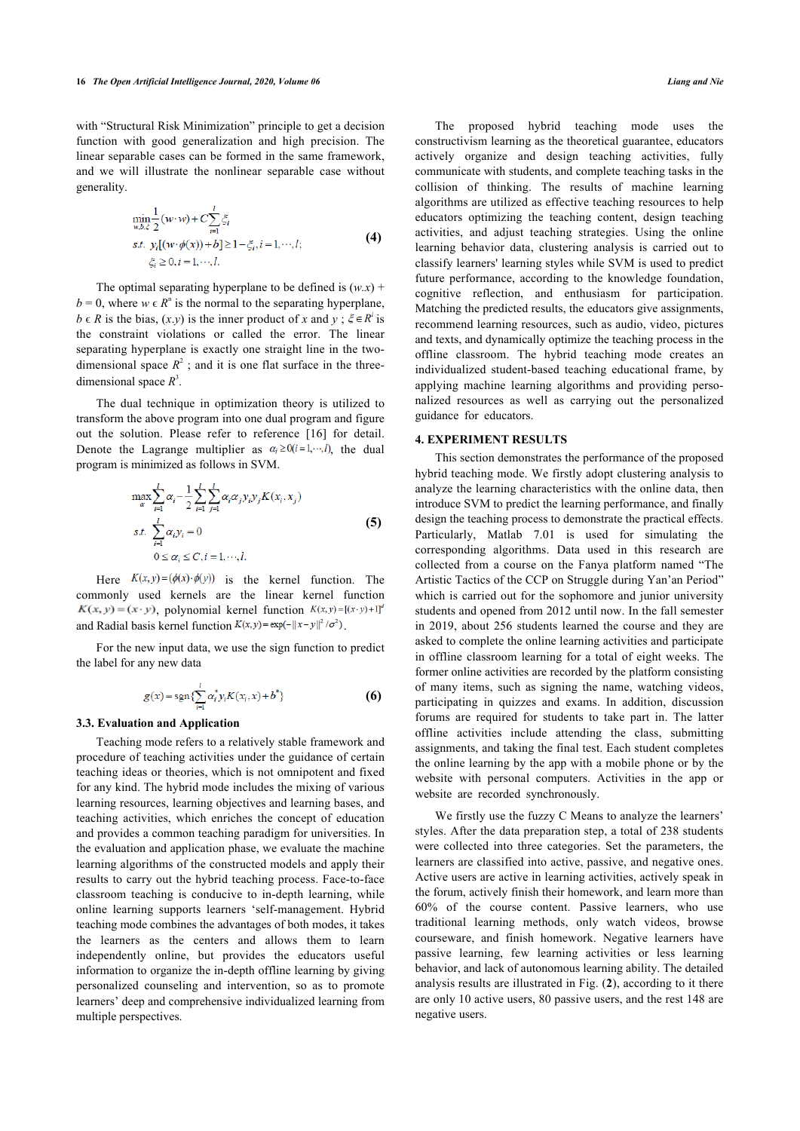with "Structural Risk Minimization" principle to get a decision function with good generalization and high precision. The linear separable cases can be formed in the same framework, and we will illustrate the nonlinear separable case without generality.

$$
\min_{w, b, \xi} \frac{1}{2} (w \cdot w) + C \sum_{i=1}^{l} \xi_i
$$
  
s.t.  $y_i [(w \cdot \phi(x)) + b] \ge 1 - \xi_i, i = 1, \dots, l;$   
 $\xi_i \ge 0, i = 1, \dots, l.$  (4)

The optimal separating hyperplane to be defined is  $(w.x)$  +  $b = 0$ , where  $w \in R^n$  is the normal to the separating hyperplane,  $b \in R$  is the bias,  $(x, y)$  is the inner product of *x* and  $y : \xi \in R^l$  is the constraint violations or called the error. The linear separating hyperplane is exactly one straight line in the twodimensional space  $R^2$ ; and it is one flat surface in the threedimensional space  $R^3$ .

The dual technique in optimization theory is utilized to transform the above program into one dual program and figure out the solution. Please refer to reference[[16](#page-6-14)] for detail. Denote the Lagrange multiplier as  $\alpha_i \ge 0$  (*i*=1,…,*t*), the dual program is minimized as follows in SVM.

$$
\max_{\alpha} \sum_{i=1}^{l} \alpha_{i} - \frac{1}{2} \sum_{i=1}^{l} \sum_{j=1}^{l} \alpha_{i} \alpha_{j} y_{i} y_{j} K(x_{i}, x_{j})
$$
  
s.t. 
$$
\sum_{i=1}^{l} \alpha_{i} y_{i} = 0
$$
  

$$
0 \le \alpha_{i} \le C, i = 1, \dots, l.
$$
 (5)

Here  $K(x, y) = (\phi(x) \cdot \phi(y))$  is the kernel function. The commonly used kernels are the linear kernel function  $K(x, y) = (x \cdot y)$ , polynomial kernel function  $K(x, y) = [(x \cdot y) + 1]^d$ and Radial basis kernel function  $K(x, y) = \exp(-||x - y||^2 / \sigma^2)$ .

For the new input data, we use the sign function to predict the label for any new data

$$
g(x) = \operatorname{sgn}\{\sum_{i=1}^{l} \alpha_i^* y_i K(x_i, x) + b^*\}
$$
 (6)

#### **3.3. Evaluation and Application**

Teaching mode refers to a relatively stable framework and procedure of teaching activities under the guidance of certain teaching ideas or theories, which is not omnipotent and fixed for any kind. The hybrid mode includes the mixing of various learning resources, learning objectives and learning bases, and teaching activities, which enriches the concept of education and provides a common teaching paradigm for universities. In the evaluation and application phase, we evaluate the machine learning algorithms of the constructed models and apply their results to carry out the hybrid teaching process. Face-to-face classroom teaching is conducive to in-depth learning, while online learning supports learners 'self-management. Hybrid teaching mode combines the advantages of both modes, it takes the learners as the centers and allows them to learn independently online, but provides the educators useful information to organize the in-depth offline learning by giving personalized counseling and intervention, so as to promote learners' deep and comprehensive individualized learning from multiple perspectives.

The proposed hybrid teaching mode uses the constructivism learning as the theoretical guarantee, educators actively organize and design teaching activities, fully communicate with students, and complete teaching tasks in the collision of thinking. The results of machine learning algorithms are utilized as effective teaching resources to help educators optimizing the teaching content, design teaching activities, and adjust teaching strategies. Using the online learning behavior data, clustering analysis is carried out to classify learners' learning styles while SVM is used to predict future performance, according to the knowledge foundation, cognitive reflection, and enthusiasm for participation. Matching the predicted results, the educators give assignments, recommend learning resources, such as audio, video, pictures and texts, and dynamically optimize the teaching process in the offline classroom. The hybrid teaching mode creates an individualized student-based teaching educational frame, by applying machine learning algorithms and providing personalized resources as well as carrying out the personalized guidance for educators.

#### **4. EXPERIMENT RESULTS**

This section demonstrates the performance of the proposed hybrid teaching mode. We firstly adopt clustering analysis to analyze the learning characteristics with the online data, then introduce SVM to predict the learning performance, and finally design the teaching process to demonstrate the practical effects. Particularly, Matlab 7.01 is used for simulating the corresponding algorithms. Data used in this research are collected from a course on the Fanya platform named "The Artistic Tactics of the CCP on Struggle during Yan'an Period" which is carried out for the sophomore and junior university students and opened from 2012 until now. In the fall semester in 2019, about 256 students learned the course and they are asked to complete the online learning activities and participate in offline classroom learning for a total of eight weeks. The former online activities are recorded by the platform consisting of many items, such as signing the name, watching videos, participating in quizzes and exams. In addition, discussion forums are required for students to take part in. The latter offline activities include attending the class, submitting assignments, and taking the final test. Each student completes the online learning by the app with a mobile phone or by the website with personal computers. Activities in the app or website are recorded synchronously.

We firstly use the fuzzy C Means to analyze the learners' styles. After the data preparation step, a total of 238 students were collected into three categories. Set the parameters, the learners are classified into active, passive, and negative ones. Active users are active in learning activities, actively speak in the forum, actively finish their homework, and learn more than 60% of the course content. Passive learners, who use traditional learning methods, only watch videos, browse courseware, and finish homework. Negative learners have passive learning, few learning activities or less learning behavior, and lack of autonomous learning ability. The detailed analysis results are illustrated in Fig. (**[2](#page-5-0)**), according to it there are only 10 active users, 80 passive users, and the rest 148 are negative users.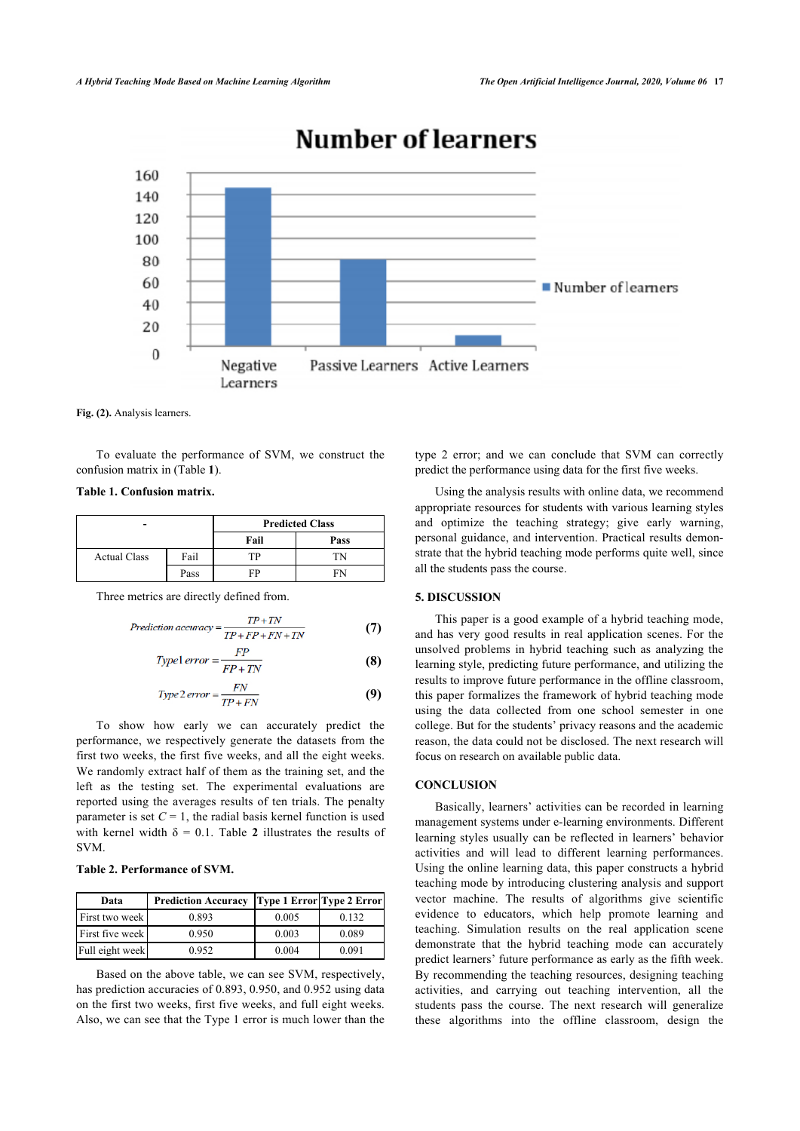<span id="page-5-0"></span>

# **Number of learners**

**Fig. (2).** Analysis learners.

To evaluate the performance of SVM, we construct the confusion matrix in (Table **[1](#page-5-1)**).

<span id="page-5-1"></span>**Table 1. Confusion matrix.**

|                     |      | <b>Predicted Class</b> |      |
|---------------------|------|------------------------|------|
|                     |      | Fail                   | Pass |
| <b>Actual Class</b> | Fail | TР                     |      |
|                     | Pass | FP                     |      |

Three metrics are directly defined from.

$$
Prediction accuracy = \frac{TP + TN}{TP + FP + FN + TN}
$$
 (7)

$$
Type1\,error = \frac{FP}{FP + TN} \tag{8}
$$

$$
Type 2\ error = \frac{FN}{TP + FN}
$$
 (9)

To show how early we can accurately predict the performance, we respectively generate the datasets from the first two weeks, the first five weeks, and all the eight weeks. We randomly extract half of them as the training set, and the left as the testing set. The experimental evaluations are reported using the averages results of ten trials. The penalty parameter is set  $C = 1$ , the radial basis kernel function is used withkernel width  $\delta = 0.1$ . Table 2 illustrates the results of SVM.

### <span id="page-5-2"></span>**Table 2. Performance of SVM.**

| Data            | <b>Prediction Accuracy</b> | <b>Type 1 Error Type 2 Error</b> |       |
|-----------------|----------------------------|----------------------------------|-------|
| First two week  | 0.893                      | 0.005                            | 0.132 |
| First five week | 0.950                      | 0.003                            | 0.089 |
| Full eight week | 0.952                      | 0.004                            | 0.091 |

Based on the above table, we can see SVM, respectively, has prediction accuracies of 0.893, 0.950, and 0.952 using data on the first two weeks, first five weeks, and full eight weeks. Also, we can see that the Type 1 error is much lower than the type 2 error; and we can conclude that SVM can correctly predict the performance using data for the first five weeks.

Using the analysis results with online data, we recommend appropriate resources for students with various learning styles and optimize the teaching strategy; give early warning, personal guidance, and intervention. Practical results demonstrate that the hybrid teaching mode performs quite well, since all the students pass the course.

# **5. DISCUSSION**

This paper is a good example of a hybrid teaching mode, and has very good results in real application scenes. For the unsolved problems in hybrid teaching such as analyzing the learning style, predicting future performance, and utilizing the results to improve future performance in the offline classroom, this paper formalizes the framework of hybrid teaching mode using the data collected from one school semester in one college. But for the students' privacy reasons and the academic reason, the data could not be disclosed. The next research will focus on research on available public data.

# **CONCLUSION**

Basically, learners' activities can be recorded in learning management systems under e-learning environments. Different learning styles usually can be reflected in learners' behavior activities and will lead to different learning performances. Using the online learning data, this paper constructs a hybrid teaching mode by introducing clustering analysis and support vector machine. The results of algorithms give scientific evidence to educators, which help promote learning and teaching. Simulation results on the real application scene demonstrate that the hybrid teaching mode can accurately predict learners' future performance as early as the fifth week. By recommending the teaching resources, designing teaching activities, and carrying out teaching intervention, all the students pass the course. The next research will generalize these algorithms into the offline classroom, design the